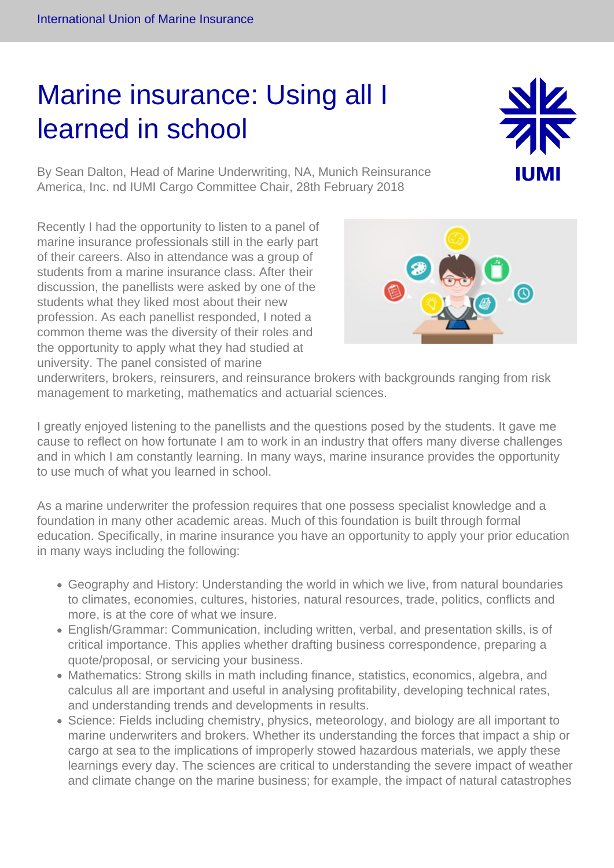## Marine insurance: Using all I learned in school



By Sean Dalton, Head of Marine Underwriting, NA, Munich Reinsurance America, Inc. nd IUMI Cargo Committee Chair, 28th February 2018

Recently I had the opportunity to listen to a panel of marine insurance professionals still in the early part of their careers. Also in attendance was a group of students from a marine insurance class. After their discussion, the panellists were asked by one of the students what they liked most about their new profession. As each panellist responded, I noted a common theme was the diversity of their roles and the opportunity to apply what they had studied at university. The panel consisted of marine

underwriters, brokers, reinsurers, and reinsurance brokers with backgrounds ranging from risk management to marketing, mathematics and actuarial sciences.

I greatly enjoyed listening to the panellists and the questions posed by the students. It gave me cause to reflect on how fortunate I am to work in an industry that offers many diverse challenges and in which I am constantly learning. In many ways, marine insurance provides the opportunity to use much of what you learned in school.

As a marine underwriter the profession requires that one possess specialist knowledge and a foundation in many other academic areas. Much of this foundation is built through formal education. Specifically, in marine insurance you have an opportunity to apply your prior education in many ways including the following:

- Geography and History: Understanding the world in which we live, from natural boundaries to climates, economies, cultures, histories, natural resources, trade, politics, conflicts and more, is at the core of what we insure.
- English/Grammar: Communication, including written, verbal, and presentation skills, is of critical importance. This applies whether drafting business correspondence, preparing a quote/proposal, or servicing your business.
- Mathematics: Strong skills in math including finance, statistics, economics, algebra, and calculus all are important and useful in analysing profitability, developing technical rates, and understanding trends and developments in results.
- Science: Fields including chemistry, physics, meteorology, and biology are all important to marine underwriters and brokers. Whether its understanding the forces that impact a ship or cargo at sea to the implications of improperly stowed hazardous materials, we apply these learnings every day. The sciences are critical to understanding the severe impact of weather and climate change on the marine business; for example, the impact of natural catastrophes